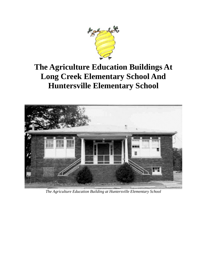

# **The Agriculture Education Buildings At Long Creek Elementary School And Huntersville Elementary School**



*The Agriculture Education Building at Huntersville Elementary School*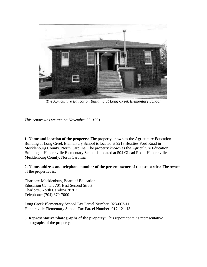

*The Agriculture Education Building at Long Creek Elementary School*

*This report was written on November 22, 1991*

**1. Name and location of the property:** The property known as the Agriculture Education Building at Long Creek Elementary School is located at 9213 Beatties Ford Road in Mecklenburg County, North Carolina. The property known as the Agriculture Education Building at Huntersville Elementary School is located at 504 Gilead Road, Huntersville, Mecklenburg County, North Carolina.

**2. Name, address and telephone number of the present owner of the properties:** The owner of the properties is:

Charlotte-Mecklenburg Board of Education Education Center, 701 East Second Street Charlotte, North Carolina 28202 Telephone: (704) 379-7000

Long Creek Elementary School Tax Parcel Number: 023-063-11 Huntersville Elementary School Tax Parcel Number: 017-121-13

**3. Representative photographs of the property:** This report contains representative photographs of the property.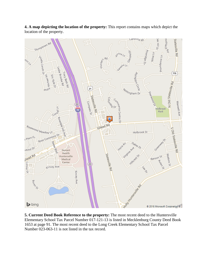

**4. A map depicting the location of the property:** This report contains maps which depict the location of the property.

**5. Current Deed Book Reference to the property:** The most recent deed to the Huntersville Elementary School Tax Parcel Number 017-121-13 is listed in Mecklenburg County Deed Book 1653 at page 91. The most recent deed to the Long Creek Elementary School Tax Parcel Number 023-063-11 is not listed in the tax record.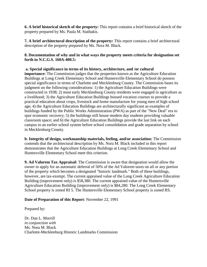**6. A brief historical sketch of the property:** This report contains a brief historical sketch of the property prepared by Ms. Paula M. Stathakis.

**7. A brief architectural description of the property:** This report contains a brief architectural description of the property prepared by Ms. Nora M. Black.

## **8. Documentation of why and in what ways the property meets criteria for designation set forth in N.C.G.S. 160A-400.5:**

**a. Special significance in terms of its history, architecture, and /or cultural importance:** The Commission judges that the properties known as the Agriculture Education Buildings at Long Creek Elementary School and Huntersville Elementary School do possess special significance in terms of Charlotte and Mecklenburg County. The Commission bases its judgment on the following considerations: 1) the Agriculture Education Buildings were constructed in 1938; 2) most early Mecklenburg County residents were engaged in agriculture as a livelihood; 3) the Agriculture Education Buildings housed vocation courses to provide a practical education about crops, livestock and home manufacture for young men of high school age; 4) the Agriculture Education Buildings are architecturally significant as examples of buildings funded by the Public Works Administration (PWA) as part of the "New Deal" era to spur economic recovery; 5) the buildings still house modern day students providing valuable classroom space; and 6) the Agriculture Education Buildings provide the last link on each campus to an earlier school system before school consolidation and grade separation by school in Mecklenburg County.

**b. Integrity of design, workmanship materials, feeling, and/or association:** The Commission contends that the architectural description by Ms. Nora M. Black included in this report demonstrates that the Agriculture Education Buildings at Long Creek Elementary School and Huntersville Elementary School meet this criterion.

**9. Ad Valorem Tax Appraisal:** The Commission is aware that designation would allow the owner to apply for an automatic deferral of 50% of the Ad Valorem taxes on all or any portion of the property which becomes a designated "historic landmark." Both of these buildings, however, are tax-exempt. The current appraised value of the Long Creek Agriculture Education Building (improvement only) is \$58,380. The current appraised value of the Huntersville Agriculture Education Building (improvement only) is \$84,280. The Long Creek Elementary School property is zoned RI 5. The Huntersville Elementary School property is zoned RS.

## **Date of Preparation of this Report**: November 22, 1991

Prepared by:

Dr. Dan L. Morrill *in conjunction with* Ms. Nora M. Black Charlotte-Mecklenburg Historic Landmarks Commission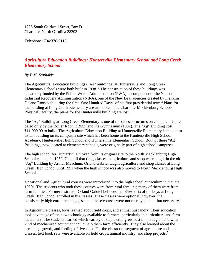1225 South Caldwell Street, Box D Charlotte, North Carolina 28203

Telephone: 704/376-9115

# *Agriculture Education Buildings: Huntersville Elementary School and Long Creek Elementary School*

## *By P.M. Stathakis*

The Agricultural Education buildings ("Ag" buildings) at Huntersville and Long Creek Elementary Schools were both built in  $1938$ . <sup>1</sup> The construction of these buildings was apparently funded by the Public Works Administration (PWA), a component of the National Industrial Recovery Administration (NIRA), one of the New Deal agencies created by Franklin Delano Roosevelt during the first "One Hundred Days" of his first presidential term.2 Plans for the building at Long Creek Elementary are available at the Charlotte-Mecklenburg Schools Physical Facility; the plans for the Huntersville building are lost.

The "Ag" Building at Long Creek Elementary is one of the oldest structures on campus. It is predated only by the Boiler Room (1923) and the Gymnasium (1932). The "Ag" Building cost \$11,000.00 to build. The Agriculture Education Building at Huntersville Elementary is the oldest extant building on its campus, a site which has been home to the Huntersville High School Academy, Huntersville High School and Huntersville Elementary School. Both of these "Ag" Buildings, now located at elementary schools, were originally part of high school campuses.

The high school for Huntersville moved from its original site to the North Mecklenburg High School campus in 1950. Up until that time, classes in agriculture and shop were taught in the old "Ag" Building by Arthur Meachum. Orland Gabriel taught agriculture and shop classes at Long Creek High School until 1951 when the high school was also moved to North Mecklenburg High School.

Vocational and Agricultural courses were introduced into the high school curriculum in the late 1920s. The students who took these courses were from rural families; many of them were from farm families. Former instructor Orland Gabriel believes that 85%-90% of the boys at Long Creek High School enrolled in his classes. These classes were optional; however, the consistently high enrollment suggests that these courses were not merely popular but necessary.<sup>4</sup>

In Agriculture classes, boys learned about field crops, and animal husbandry. Their education took advantage of the new technology available to farmers, particularly in horticulture and farm machinery. The students learned which variety of staple crop grew best in this region and what kind of mechanized equipment could help them farm efficiently. They also learned about the breeding, growth, and feeding of livestock. For the classroom segment of agriculture and shop classes, text book sets were available on field crops, animal industry, and shop projects.<sup>5</sup>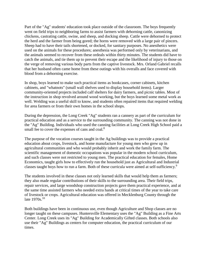Part of the "Ag" students' education took place outside of the classroom. The boys frequently went on field trips to neighboring farms to assist farmers with dehorning cattle, canonizing chickens, castrating cattle, swine, and sheep, and docking sheep. Cattle were dehorned to protect the herd and the farmer from being gored; the horns were removed with a large pair of pincers. Sheep had to have their tails shortened, or docked, for sanitary purposes. No anesthetics were used on the animals for these procedures; anesthesia was performed only by veterinarians, and the animals seemed to recover from these ordeals within thirty minutes. The students did have to catch the animals, and tie them up to prevent their escape and the likelihood of injury to those on the verge of removing various body parts from the captive livestock. Mrs. Orland Gabriel recalls that her husband often came home from these outings with his overalls and face covered with blood from a dehorning exercise.

In shop, boys learned to make such practical items as bookcases, corner cabinets, kitchen cabinets, and "whatnots" (small wall shelves used to display household items). Larger community-oriented projects included calf shelters for dairy farmers, and picnic tables. Most of the instruction in shop revolved around wood working, but the boys learned some metal work as well. Welding was a useful skill to know, and students often repaired items that required welding for area farmers or from their own homes in the school shops.

During the depression, the Long Creek "Ag" students ran a cannery as part of the curriculum for practical education and as a service to the surrounding community. The canning was not done in the "Ag" Building. Individuals who used the canning facilities at Long Creek High School paid a small fee to cover the expenses of cans and coal.<sup>8</sup>

The purpose of the vocation courses taught in the Ag buildings was to provide a practical education about crops, livestock, and home manufacture for young men who grew up in agricultural communities and who would probably inherit and work the family farm. The scientific management of domestic occupations was popular in the modern school curriculum, and such classes were not restricted to young men. The practical education for females, Home Economics, taught girls how to effectively run the household just as Agricultural and Industrial classes taught boys how to run a farm. Both of these curricula were aimed at self-sufficiency.9

The students involved in these classes not only learned skills that would help them as farmers; they also made regular contributions of their skills to the surrounding area. Their field trips, repair services, and large woodshop construction projects gave them practical experience, and at the same time assisted farmers who needed extra hands at critical times of the year to take care of livestock or crops. Agricultural education was offered in Mecklenburg County through the late  $1970s$ <sup>10</sup>

Both buildings have been in continuous use, even though Agriculture and Shop classes are no longer taught on these campuses. Huntersville Elementary uses the "Ag" Building as a Fine Arts Center. Long Creek uses its "Ag" Building for Academically Gifted classes. Both schools also use their "Ag" Buildings as centers for computer education, the practical curriculum of our times.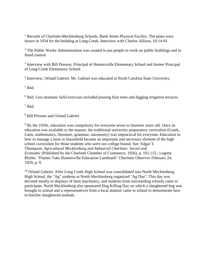<sup>1</sup> Records of Charlotte-Mecklenburg Schools, Bank Street Physical Facility. The plans were drawn in 1934 for the building at Long Creek. Interview with Charles Allison, 10-14-91.

 $2$  The Public Works Administration was created to put people to work on public buildings and in flood control.

<sup>3</sup> Interview with Bill Presson, Principal of Huntersville Elementary School and former Principal of Long Creek Elementary School.

<sup>4</sup> Interview, Orland Gabriel. Mr. Gabriel was educated at North Carolina State University.

 $<sup>5</sup>$  Ibid.</sup>

 $6$  Ibid. Less dramatic field exercises included pruning fruit trees and digging irrigation terraces.

<sup>7</sup> Ibid.

<sup>8</sup> Bill Presson and Orland Gabriel.

<sup>9</sup> By the 1920s, education was compulsory for everyone seven to fourteen years old. Once an education was available to the masses, the traditional university preparatory curriculum (Greek, Latin, mathematics, literature, grammar, astronomy) was impractical for everyone. Education in how to manage a farm or household became an important and necessary element of the high school curriculum for those students who were not college bound. See: Edgar T. Thompson, *Agricultural Mecklenburg and Industrial Charlotte: Social and Economic* (Published by the Charlotte Chamber of Commerce, 1926), p. 101,115.; Legette Blythe, "Flames Take Huntersville Education Landmark" *Charlotte Observer* February 24, 1929, p. 9.

<sup>10</sup> Orland Gabriel. After Long Creek High School was consolidated into North Mecklenburg High School, the "Ag" students at North Mecklenburg organized "Ag Day". This day was devoted mostly to displays of farm machinery, and students from surrounding schools came to participate. North Mecklenburg also sponsored Hog Killing Day on which a slaughtered hog was brought to school and a representatives from a local abattoir came to school to demonstrate how to butcher slaughtered animals.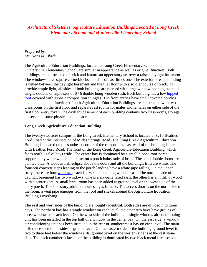# *Architectural Sketches: Agriculture Education Buildings Located at Long Creek Elementary School and Huntersville Elementary School*

## *Prepared by: Ms. Nora M. Black*

The Agriculture Education Buildings, located at Long Creek Elementary School and Huntersville Elementary School, are similar in appearance as well as original function. Both buildings are constructed of brick and feature an upper story set over a raised daylight basement. The windows have square cornerblocks and sills of cast limestone. The exterior of each building is belted between the daylight basement and the first floor with a soldier course of brick. To provide ample light, all sides of both buildings are pierced with large window openings to hold single, double, or triple sets of 6 / 6 double hung wooden sash. Each building has a low [hipped](http://www.cmhpf.org/kids/Guideboox/RoofTypes.html)  [roof](http://www.cmhpf.org/kids/Guideboox/RoofTypes.html) covered with asphalt composition shingles. The front entries have small covered porches and double doors. Interiors of both Agriculture Education Buildings are constructed with two classrooms on the first floor and separate rest rooms for males and females on either side of the first floor entry foyer. The daylight basement of each building contains two classrooms, storage closets, and some physical plant space.

## **Long Creek Agriculture Education Building**

The twenty-two acre campus of the Long Creek Elementary School is located at 9213 Beatties Ford Road at the intersection of Midas Springs Road. The Long Creek Agriculture Education Building is located on the southeast corner of the campus; the east wall of the building is parallel with Beatties Ford Road. The front of the Long Creek Agriculture Education Building, which faces north, is five bays wide. The center bay is dominated by a small hipped roof porch supported by white wooden piers set on a porch balustrade of brick. The solid double doors are painted blue. A wooden half-ellipse above the doors and all the building's trim are white. The fourteen concrete steps leading to the porch landing have a white pipe railing. On the upper story, there are four [windows;](http://www.cmhpf.org/kids/Guideboox/windows.html) each is a 6/6 double hung wooden sash. The north facade of the daylight basement has two windows. One is a six-pane fixed sash; the other has an infill of wood with a center vent. A small brick room has been added at ground level on the west side of the entry porch. This one story addition houses a gas furnace. The access door is on the north side of the room; a vent pipe emerges from the roof and snakes around the Agriculture Education Building's overhang.

The east and west sides of the building are roughly identical. Both sides are divided into three bays. The northern bay has a single window on each level; the other two bays have groups of three windows on each level. On the west side of the building, a single window air conditioning unit has been installed in the top half of a window in the center bay. On the east side, a window air conditioning unit has been installed in the rear or southernmost bay on each level. The main difference seen in the sides is ground level. On the eastern side of the building, ground level is two to three feet below the window sills; ground level on the western side is at the cast stone sills. The back (southern) facade of the building is dominated by two black metal fire escapes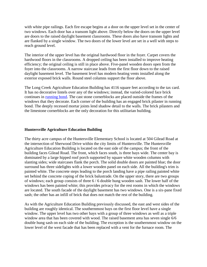with white pipe railings. Each fire escape begins at a door on the upper level set in the center of two windows. Each door has a transom light above. Directly below the doors on the upper level are doors to the raised daylight basement classrooms. These doors also have transom lights and are flanked by a single window. The two doors of the lower level are set in a well with steps to reach ground level.

The interior of the upper level has the original hardwood floor in the foyer. Carpet covers the hardwood floors in the classrooms. A dropped ceiling has been installed to improve heating efficiency; the original ceiling is still in place above. Five-panel wooden doors open from the foyer into the classrooms. A narrow staircase leads from the first floor down to the raised daylight basement level. The basement level has modern heating vents installed along the exterior exposed brick walls. Round steel columns support the floor above.

The Long Creek Agriculture Education Building has 4116 square feet according to the tax card. It has no decorative lintels over any of the windows; instead, the varied-colored face brick continues in [running bond.](http://www.cmhpf.org/kids/Guideboox/brick.html) The cast stone cornerblocks are placed outside the frames of the windows that they decorate. Each corner of the building has an engaged brick pilaster in running bond. The deeply recessed mortar joints lend shadow detail to the walls. The brick pilasters and the limestone cornerblocks are the only decoration for this utilitarian building.

#### **Huntersville Agriculture Education Building**

The thirty acre campus of the Huntersville Elementary School is located at 504 Gilead Road at the intersection of Sherwood Drive within the city limits of Huntersville. The Huntersville Agriculture Education Building is located on the east side of the campus; the front of the building faces Gilead Road. The front, which faces south, is three bays wide. The center bay is dominated by a large hipped roof porch supported by square white wooden columns with slanting sides; wide staircases flank the porch. The solid double doors are painted blue; the door surround has three sidelights with a lower wooden panel on each side. All the building's trim is painted white. The concrete steps leading to the porch landing have a pipe railing painted white set behind the concrete coping of the brick balustrade. On the upper story, there are two groups of windows; each group consists of three 6 / 6 double hung wooden sash. The lower half of the windows has been painted white; this provides privacy for the rest rooms in which the windows are located. The south facade of the daylight basement has two windows. One is a six-pane fixed sash; the other has an infill of brick that does not match the rest of the building.

As with the Agriculture Education Building previously discussed, the east and west sides of the building are roughly identical. The southernmost bays on the first floor level have a single window. The upper level has two other bays with a group of three windows as well as a triple window area that has been covered with wood. The raised basement area has seven single 6/6 double hung sash on each side of the building. The exception is the southernmost window on the lower level of the west facade that has been replaced with a vent for the furnace room. The